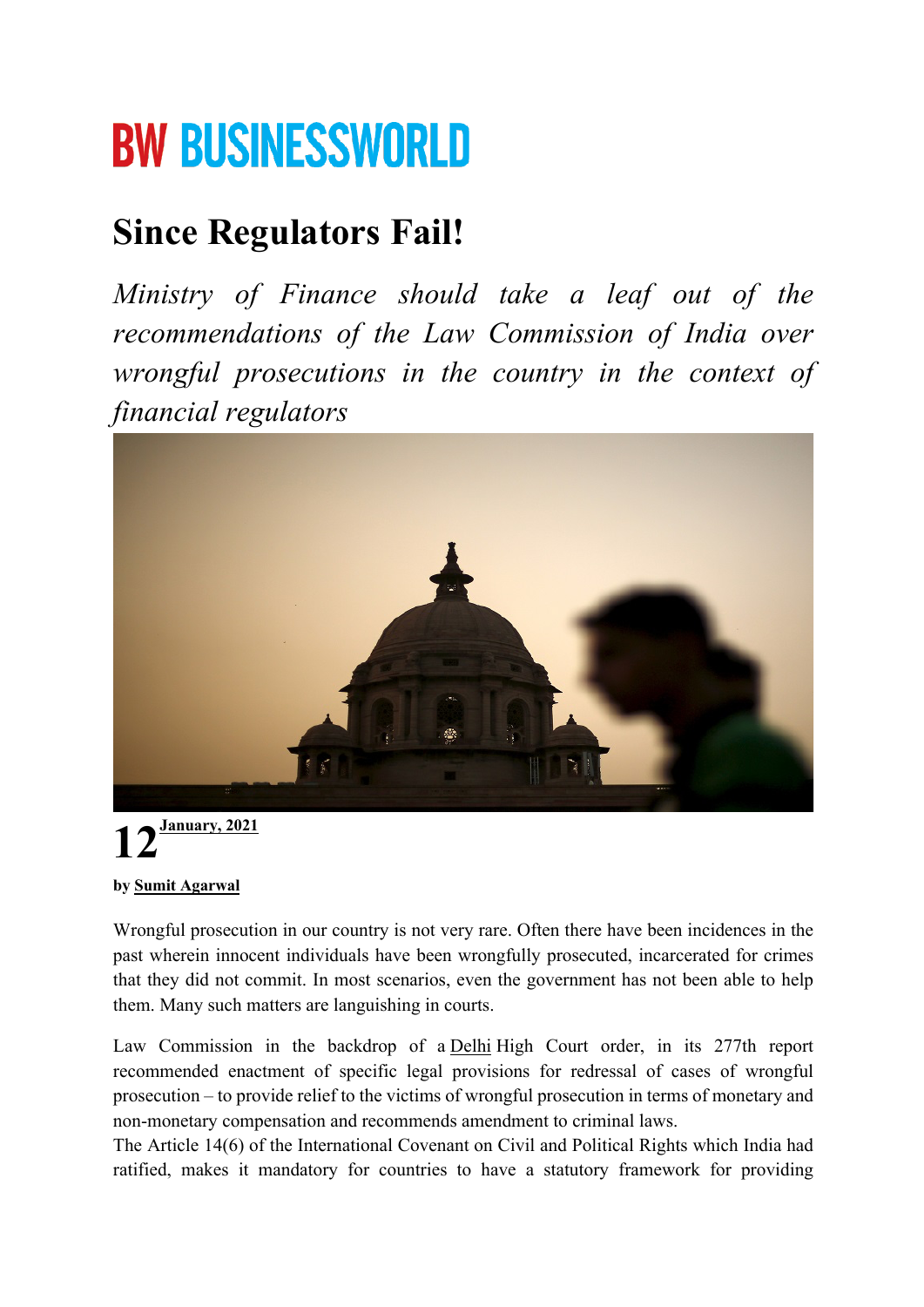## **BW BUSINESSWORLD**

### **Since Regulators Fail!**

*Ministry of Finance should take a leaf out of the recommendations of the Law Commission of India over wrongful prosecutions in the country in the context of financial regulators*



# **12January, <sup>2021</sup>**

#### **by Sumit Agarwal**

Wrongful prosecution in our country is not very rare. Often there have been incidences in the past wherein innocent individuals have been wrongfully prosecuted, incarcerated for crimes that they did not commit. In most scenarios, even the government has not been able to help them. Many such matters are languishing in courts.

Law Commission in the backdrop of a Delhi High Court order, in its 277th report recommended enactment of specific legal provisions for redressal of cases of wrongful prosecution – to provide relief to the victims of wrongful prosecution in terms of monetary and non-monetary compensation and recommends amendment to criminal laws.

The Article 14(6) of the International Covenant on Civil and Political Rights which India had ratified, makes it mandatory for countries to have a statutory framework for providing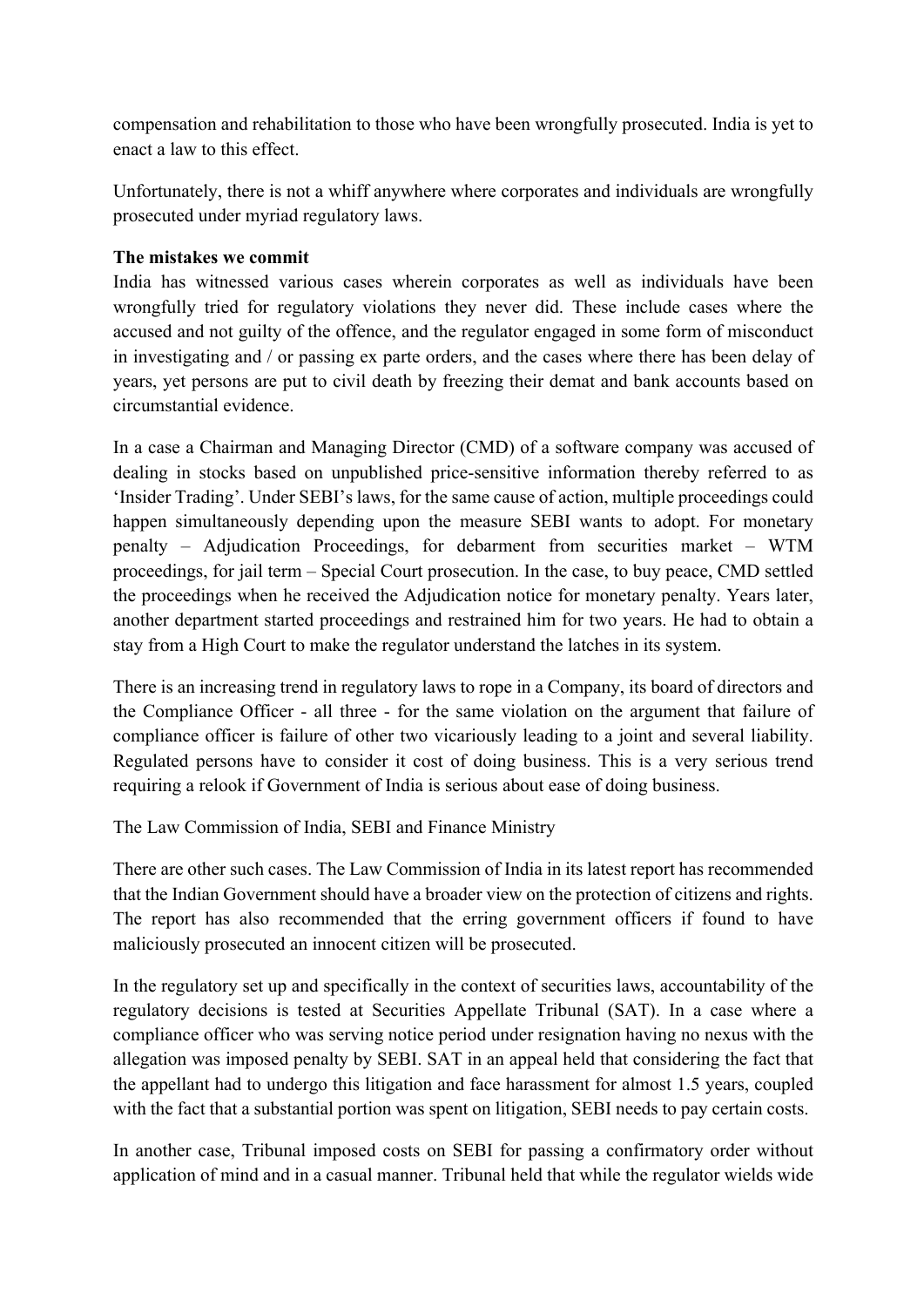compensation and rehabilitation to those who have been wrongfully prosecuted. India is yet to enact a law to this effect.

Unfortunately, there is not a whiff anywhere where corporates and individuals are wrongfully prosecuted under myriad regulatory laws.

#### **The mistakes we commit**

India has witnessed various cases wherein corporates as well as individuals have been wrongfully tried for regulatory violations they never did. These include cases where the accused and not guilty of the offence, and the regulator engaged in some form of misconduct in investigating and / or passing ex parte orders, and the cases where there has been delay of years, yet persons are put to civil death by freezing their demat and bank accounts based on circumstantial evidence.

In a case a Chairman and Managing Director (CMD) of a software company was accused of dealing in stocks based on unpublished price-sensitive information thereby referred to as 'Insider Trading'. Under SEBI's laws, for the same cause of action, multiple proceedings could happen simultaneously depending upon the measure SEBI wants to adopt. For monetary penalty – Adjudication Proceedings, for debarment from securities market – WTM proceedings, for jail term – Special Court prosecution. In the case, to buy peace, CMD settled the proceedings when he received the Adjudication notice for monetary penalty. Years later, another department started proceedings and restrained him for two years. He had to obtain a stay from a High Court to make the regulator understand the latches in its system.

There is an increasing trend in regulatory laws to rope in a Company, its board of directors and the Compliance Officer - all three - for the same violation on the argument that failure of compliance officer is failure of other two vicariously leading to a joint and several liability. Regulated persons have to consider it cost of doing business. This is a very serious trend requiring a relook if Government of India is serious about ease of doing business.

The Law Commission of India, SEBI and Finance Ministry

There are other such cases. The Law Commission of India in its latest report has recommended that the Indian Government should have a broader view on the protection of citizens and rights. The report has also recommended that the erring government officers if found to have maliciously prosecuted an innocent citizen will be prosecuted.

In the regulatory set up and specifically in the context of securities laws, accountability of the regulatory decisions is tested at Securities Appellate Tribunal (SAT). In a case where a compliance officer who was serving notice period under resignation having no nexus with the allegation was imposed penalty by SEBI. SAT in an appeal held that considering the fact that the appellant had to undergo this litigation and face harassment for almost 1.5 years, coupled with the fact that a substantial portion was spent on litigation, SEBI needs to pay certain costs.

In another case, Tribunal imposed costs on SEBI for passing a confirmatory order without application of mind and in a casual manner. Tribunal held that while the regulator wields wide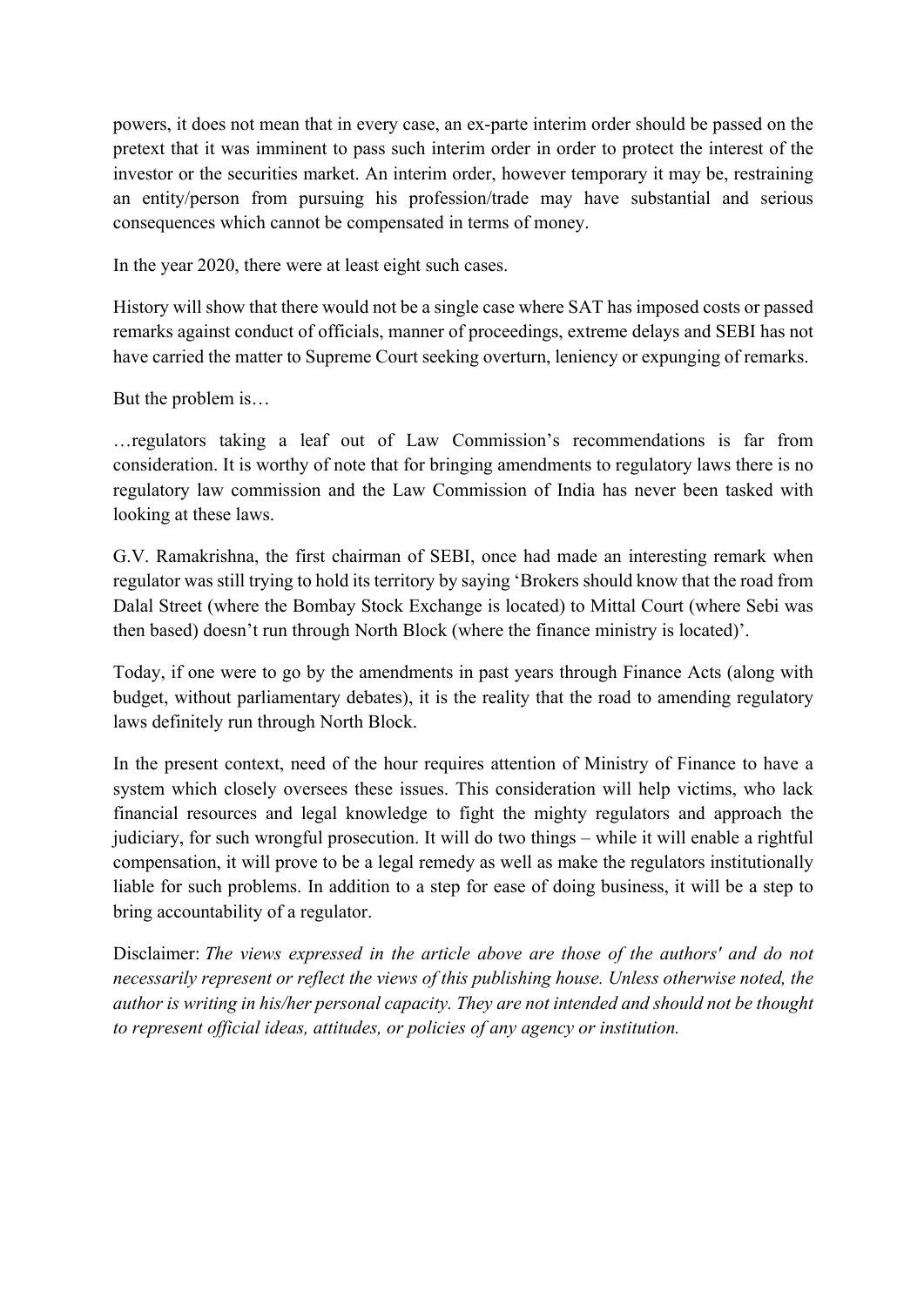powers, it does not mean that in every case, an ex-parte interim order should be passed on the pretext that it was imminent to pass such interim order in order to protect the interest of the investor or the securities market. An interim order, however temporary it may be, restraining an entity/person from pursuing his profession/trade may have substantial and serious consequences which cannot be compensated in terms of money.

In the year 2020, there were at least eight such cases.

History will show that there would not be a single case where SAT has imposed costs or passed remarks against conduct of officials, manner of proceedings, extreme delays and SEBI has not have carried the matter to Supreme Court seeking overturn, leniency or expunging of remarks.

But the problem is…

…regulators taking a leaf out of Law Commission's recommendations is far from consideration. It is worthy of note that for bringing amendments to regulatory laws there is no regulatory law commission and the Law Commission of India has never been tasked with looking at these laws.

G.V. Ramakrishna, the first chairman of SEBI, once had made an interesting remark when regulator was still trying to hold its territory by saying 'Brokers should know that the road from Dalal Street (where the Bombay Stock Exchange is located) to Mittal Court (where Sebi was then based) doesn't run through North Block (where the finance ministry is located)'.

Today, if one were to go by the amendments in past years through Finance Acts (along with budget, without parliamentary debates), it is the reality that the road to amending regulatory laws definitely run through North Block.

In the present context, need of the hour requires attention of Ministry of Finance to have a system which closely oversees these issues. This consideration will help victims, who lack financial resources and legal knowledge to fight the mighty regulators and approach the judiciary, for such wrongful prosecution. It will do two things – while it will enable a rightful compensation, it will prove to be a legal remedy as well as make the regulators institutionally liable for such problems. In addition to a step for ease of doing business, it will be a step to bring accountability of a regulator.

Disclaimer: *The views expressed in the article above are those of the authors' and do not necessarily represent or reflect the views of this publishing house. Unless otherwise noted, the author is writing in his/her personal capacity. They are not intended and should not be thought to represent official ideas, attitudes, or policies of any agency or institution.*